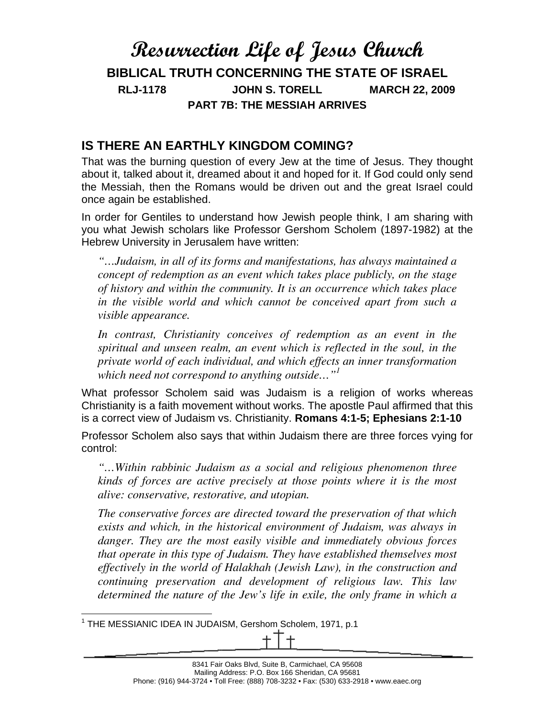# **Resurrection Life of Jesus Church BIBLICAL TRUTH CONCERNING THE STATE OF ISRAEL RLJ-1178 JOHN S. TORELL MARCH 22, 2009 PART 7B: THE MESSIAH ARRIVES**

### **IS THERE AN EARTHLY KINGDOM COMING?**

That was the burning question of every Jew at the time of Jesus. They thought about it, talked about it, dreamed about it and hoped for it. If God could only send the Messiah, then the Romans would be driven out and the great Israel could once again be established.

In order for Gentiles to understand how Jewish people think, I am sharing with you what Jewish scholars like Professor Gershom Scholem (1897-1982) at the Hebrew University in Jerusalem have written:

*"…Judaism, in all of its forms and manifestations, has always maintained a concept of redemption as an event which takes place publicly, on the stage of history and within the community. It is an occurrence which takes place in the visible world and which cannot be conceived apart from such a visible appearance.* 

*In contrast, Christianity conceives of redemption as an event in the spiritual and unseen realm, an event which is reflected in the soul, in the private world of each individual, and which effects an inner transformation which need not correspond to anything outside…"1*

What professor Scholem said was Judaism is a religion of works whereas Christianity is a faith movement without works. The apostle Paul affirmed that this is a correct view of Judaism vs. Christianity. **Romans 4:1-5; Ephesians 2:1-10** 

Professor Scholem also says that within Judaism there are three forces vying for control:

*"…Within rabbinic Judaism as a social and religious phenomenon three kinds of forces are active precisely at those points where it is the most alive: conservative, restorative, and utopian.* 

*The conservative forces are directed toward the preservation of that which exists and which, in the historical environment of Judaism, was always in danger. They are the most easily visible and immediately obvious forces that operate in this type of Judaism. They have established themselves most effectively in the world of Halakhah (Jewish Law), in the construction and continuing preservation and development of religious law. This law determined the nature of the Jew's life in exile, the only frame in which a* 

 1 THE MESSIANIC IDEA IN JUDAISM, Gershom Scholem, 1971, p.1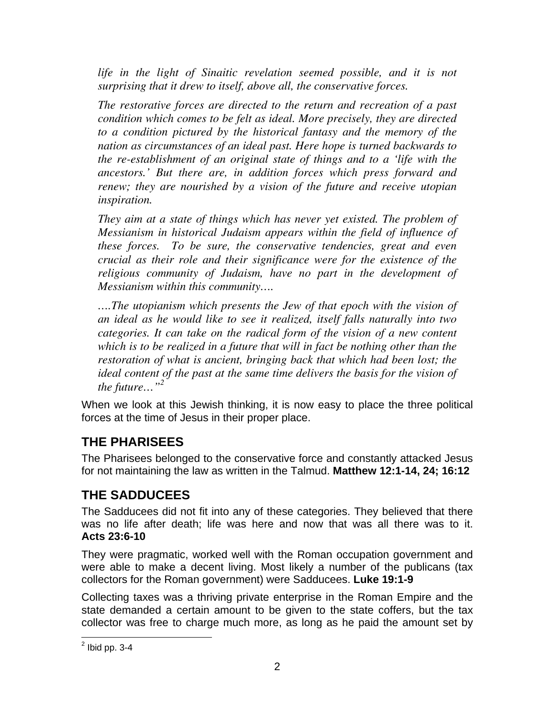life in the light of Sinaitic revelation seemed possible, and it is not *surprising that it drew to itself, above all, the conservative forces.* 

*The restorative forces are directed to the return and recreation of a past condition which comes to be felt as ideal. More precisely, they are directed to a condition pictured by the historical fantasy and the memory of the nation as circumstances of an ideal past. Here hope is turned backwards to the re-establishment of an original state of things and to a 'life with the ancestors.' But there are, in addition forces which press forward and renew; they are nourished by a vision of the future and receive utopian inspiration.* 

*They aim at a state of things which has never yet existed. The problem of Messianism in historical Judaism appears within the field of influence of these forces. To be sure, the conservative tendencies, great and even crucial as their role and their significance were for the existence of the*  religious community of Judaism, have no part in the development of *Messianism within this community….* 

*….The utopianism which presents the Jew of that epoch with the vision of an ideal as he would like to see it realized, itself falls naturally into two categories. It can take on the radical form of the vision of a new content which is to be realized in a future that will in fact be nothing other than the restoration of what is ancient, bringing back that which had been lost; the ideal content of the past at the same time delivers the basis for the vision of the future…"2*

When we look at this Jewish thinking, it is now easy to place the three political forces at the time of Jesus in their proper place.

## **THE PHARISEES**

The Pharisees belonged to the conservative force and constantly attacked Jesus for not maintaining the law as written in the Talmud. **Matthew 12:1-14, 24; 16:12**

## **THE SADDUCEES**

The Sadducees did not fit into any of these categories. They believed that there was no life after death; life was here and now that was all there was to it. **Acts 23:6-10**

They were pragmatic, worked well with the Roman occupation government and were able to make a decent living. Most likely a number of the publicans (tax collectors for the Roman government) were Sadducees. **Luke 19:1-9**

Collecting taxes was a thriving private enterprise in the Roman Empire and the state demanded a certain amount to be given to the state coffers, but the tax collector was free to charge much more, as long as he paid the amount set by

 $^2$  Ibid pp. 3-4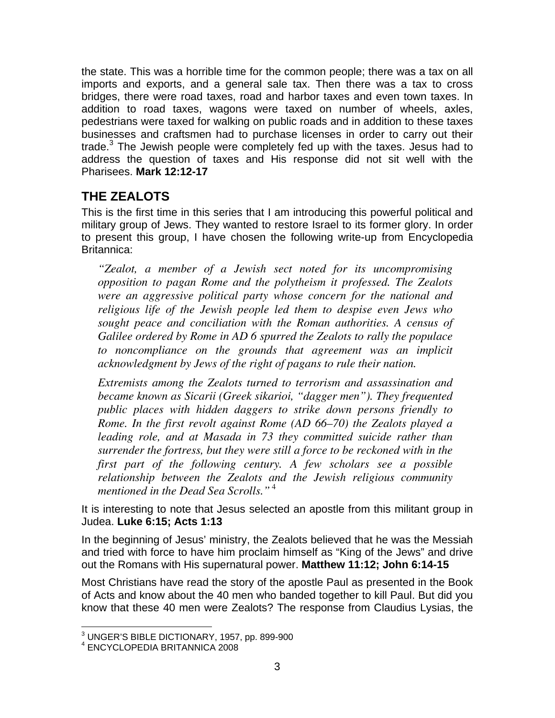the state. This was a horrible time for the common people; there was a tax on all imports and exports, and a general sale tax. Then there was a tax to cross bridges, there were road taxes, road and harbor taxes and even town taxes. In addition to road taxes, wagons were taxed on number of wheels, axles, pedestrians were taxed for walking on public roads and in addition to these taxes businesses and craftsmen had to purchase licenses in order to carry out their trade.<sup>3</sup> The Jewish people were completely fed up with the taxes. Jesus had to address the question of taxes and His response did not sit well with the Pharisees. **Mark 12:12-17**

## **THE ZEALOTS**

This is the first time in this series that I am introducing this powerful political and military group of Jews. They wanted to restore Israel to its former glory. In order to present this group, I have chosen the following write-up from Encyclopedia Britannica:

*"Zealot, a member of a Jewish sect noted for its uncompromising opposition to pagan Rome and the polytheism it professed. The Zealots were an aggressive political party whose concern for the national and religious life of the Jewish people led them to despise even Jews who sought peace and conciliation with the Roman authorities. A census of Galilee ordered by Rome in AD 6 spurred the Zealots to rally the populace to noncompliance on the grounds that agreement was an implicit acknowledgment by Jews of the right of pagans to rule their nation.* 

*Extremists among the Zealots turned to terrorism and assassination and became known as Sicarii (Greek sikarioi, "dagger men"). They frequented public places with hidden daggers to strike down persons friendly to Rome. In the first revolt against Rome (AD 66–70) the Zealots played a leading role, and at Masada in 73 they committed suicide rather than surrender the fortress, but they were still a force to be reckoned with in the first part of the following century. A few scholars see a possible relationship between the Zealots and the Jewish religious community mentioned in the Dead Sea Scrolls."*<sup>4</sup>

It is interesting to note that Jesus selected an apostle from this militant group in Judea. **Luke 6:15; Acts 1:13**

In the beginning of Jesus' ministry, the Zealots believed that he was the Messiah and tried with force to have him proclaim himself as "King of the Jews" and drive out the Romans with His supernatural power. **Matthew 11:12; John 6:14-15**

Most Christians have read the story of the apostle Paul as presented in the Book of Acts and know about the 40 men who banded together to kill Paul. But did you know that these 40 men were Zealots? The response from Claudius Lysias, the

 3 UNGER'S BIBLE DICTIONARY, 1957, pp. 899-900

<sup>4</sup> ENCYCLOPEDIA BRITANNICA 2008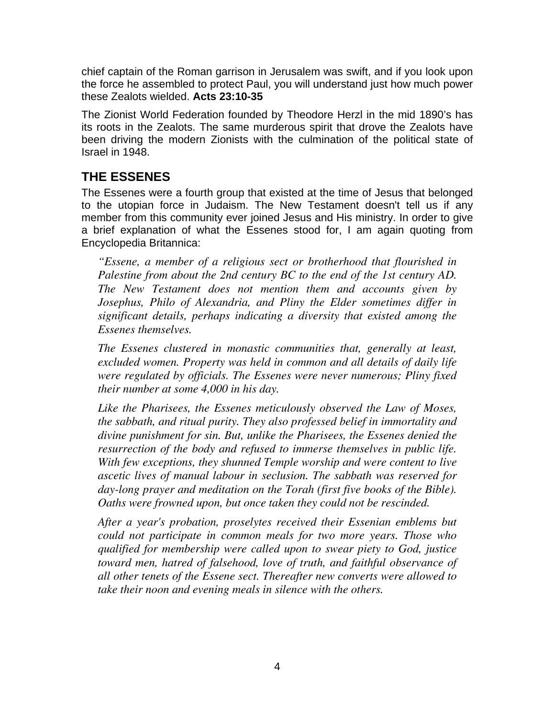chief captain of the Roman garrison in Jerusalem was swift, and if you look upon the force he assembled to protect Paul, you will understand just how much power these Zealots wielded. **Acts 23:10-35**

The Zionist World Federation founded by Theodore Herzl in the mid 1890's has its roots in the Zealots. The same murderous spirit that drove the Zealots have been driving the modern Zionists with the culmination of the political state of Israel in 1948.

## **THE ESSENES**

The Essenes were a fourth group that existed at the time of Jesus that belonged to the utopian force in Judaism. The New Testament doesn't tell us if any member from this community ever joined Jesus and His ministry. In order to give a brief explanation of what the Essenes stood for, I am again quoting from Encyclopedia Britannica:

*"Essene, a member of a religious sect or brotherhood that flourished in Palestine from about the 2nd century BC to the end of the 1st century AD. The New Testament does not mention them and accounts given by Josephus, Philo of Alexandria, and Pliny the Elder sometimes differ in significant details, perhaps indicating a diversity that existed among the Essenes themselves.* 

*The Essenes clustered in monastic communities that, generally at least, excluded women. Property was held in common and all details of daily life were regulated by officials. The Essenes were never numerous; Pliny fixed their number at some 4,000 in his day.* 

*Like the Pharisees, the Essenes meticulously observed the Law of Moses, the sabbath, and ritual purity. They also professed belief in immortality and divine punishment for sin. But, unlike the Pharisees, the Essenes denied the resurrection of the body and refused to immerse themselves in public life. With few exceptions, they shunned Temple worship and were content to live ascetic lives of manual labour in seclusion. The sabbath was reserved for day-long prayer and meditation on the Torah (first five books of the Bible). Oaths were frowned upon, but once taken they could not be rescinded.* 

*After a year's probation, proselytes received their Essenian emblems but could not participate in common meals for two more years. Those who qualified for membership were called upon to swear piety to God, justice toward men, hatred of falsehood, love of truth, and faithful observance of all other tenets of the Essene sect. Thereafter new converts were allowed to take their noon and evening meals in silence with the others.*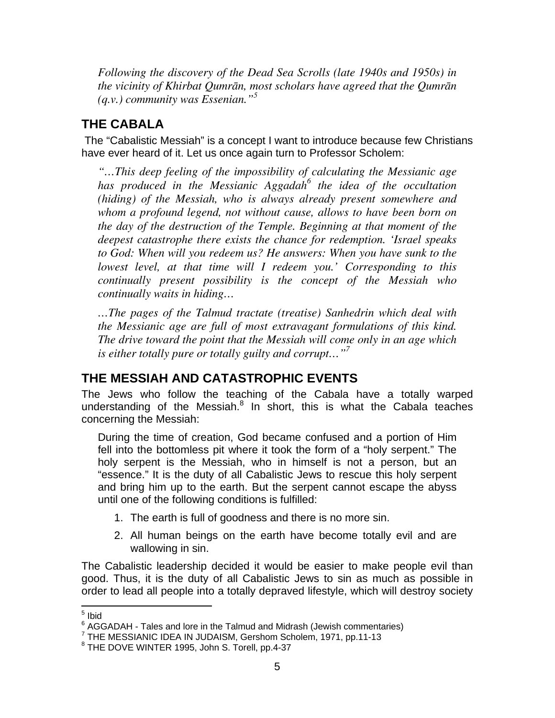*Following the discovery of the Dead Sea Scrolls (late 1940s and 1950s) in the vicinity of Khirbat Qumrān, most scholars have agreed that the Qumrān (q.v.) community was Essenian."<sup>5</sup>*

## **THE CABALA**

 The "Cabalistic Messiah" is a concept I want to introduce because few Christians have ever heard of it. Let us once again turn to Professor Scholem:

*"…This deep feeling of the impossibility of calculating the Messianic age has produced in the Messianic Aggadah<sup>6</sup> the idea of the occultation (hiding) of the Messiah, who is always already present somewhere and whom a profound legend, not without cause, allows to have been born on the day of the destruction of the Temple. Beginning at that moment of the deepest catastrophe there exists the chance for redemption. 'Israel speaks to God: When will you redeem us? He answers: When you have sunk to the lowest level, at that time will I redeem you.' Corresponding to this continually present possibility is the concept of the Messiah who continually waits in hiding…* 

*…The pages of the Talmud tractate (treatise) Sanhedrin which deal with the Messianic age are full of most extravagant formulations of this kind. The drive toward the point that the Messiah will come only in an age which is either totally pure or totally guilty and corrupt…"7*

## **THE MESSIAH AND CATASTROPHIC EVENTS**

The Jews who follow the teaching of the Cabala have a totally warped understanding of the Messiah. $8\,$  In short, this is what the Cabala teaches concerning the Messiah:

During the time of creation, God became confused and a portion of Him fell into the bottomless pit where it took the form of a "holy serpent." The holy serpent is the Messiah, who in himself is not a person, but an "essence." It is the duty of all Cabalistic Jews to rescue this holy serpent and bring him up to the earth. But the serpent cannot escape the abyss until one of the following conditions is fulfilled:

- 1. The earth is full of goodness and there is no more sin.
- 2. All human beings on the earth have become totally evil and are wallowing in sin.

The Cabalistic leadership decided it would be easier to make people evil than good. Thus, it is the duty of all Cabalistic Jews to sin as much as possible in order to lead all people into a totally depraved lifestyle, which will destroy society

<sup>&</sup>lt;sup>5</sup> Ibid

 $6$  AGGADAH - Tales and lore in the Talmud and Midrash (Jewish commentaries)

THE MESSIANIC IDEA IN JUDAISM, Gershom Scholem, 1971, pp.11-13<br><sup>8</sup> THE DOVE WINTER 1995, John S. Torell, pp.*1*.27

<sup>&</sup>lt;sup>8</sup> THE DOVE WINTER 1995, John S. Torell, pp.4-37